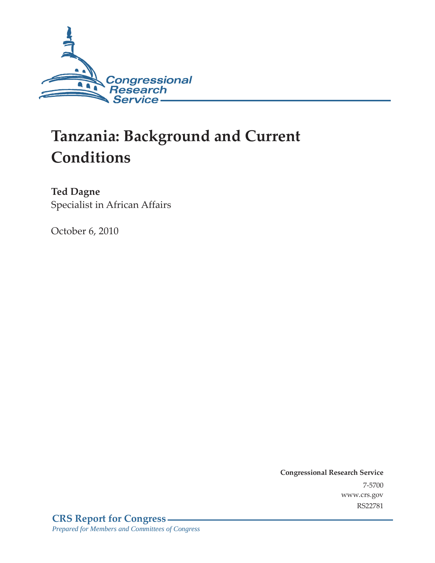

# **Tanzania: Background and Current Conditions**

**Ted Dagne**  Specialist in African Affairs

October 6, 2010

**Congressional Research Service** 7-5700 www.crs.gov RS22781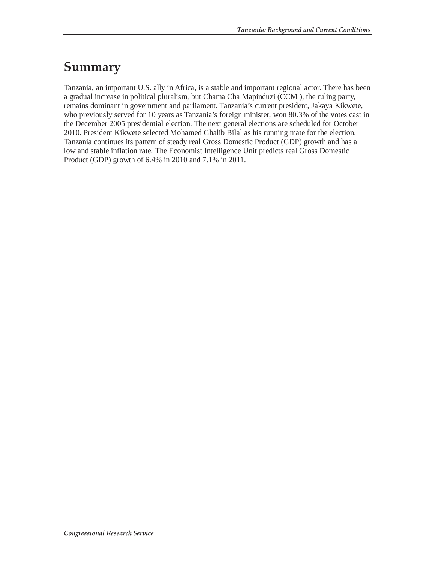### **Summary**

Tanzania, an important U.S. ally in Africa, is a stable and important regional actor. There has been a gradual increase in political pluralism, but Chama Cha Mapinduzi (CCM ), the ruling party, remains dominant in government and parliament. Tanzania's current president, Jakaya Kikwete, who previously served for 10 years as Tanzania's foreign minister, won 80.3% of the votes cast in the December 2005 presidential election. The next general elections are scheduled for October 2010. President Kikwete selected Mohamed Ghalib Bilal as his running mate for the election. Tanzania continues its pattern of steady real Gross Domestic Product (GDP) growth and has a low and stable inflation rate. The Economist Intelligence Unit predicts real Gross Domestic Product (GDP) growth of 6.4% in 2010 and 7.1% in 2011.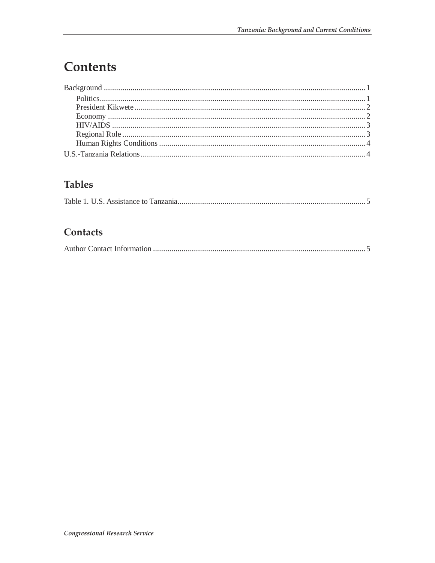## Contents

### **Tables**

|--|

#### Contacts

|--|--|--|--|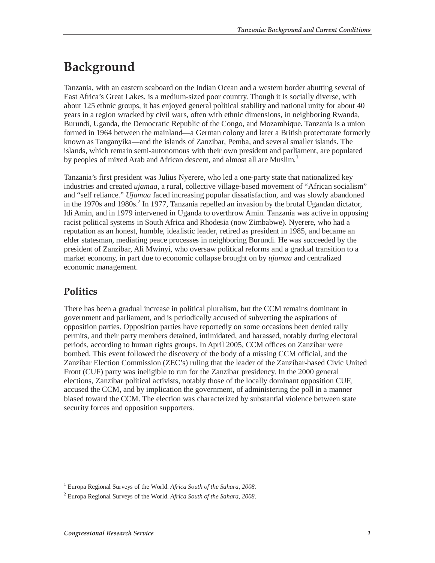## **Background**

Tanzania, with an eastern seaboard on the Indian Ocean and a western border abutting several of East Africa's Great Lakes, is a medium-sized poor country. Though it is socially diverse, with about 125 ethnic groups, it has enjoyed general political stability and national unity for about 40 years in a region wracked by civil wars, often with ethnic dimensions, in neighboring Rwanda, Burundi, Uganda, the Democratic Republic of the Congo, and Mozambique. Tanzania is a union formed in 1964 between the mainland—a German colony and later a British protectorate formerly known as Tanganyika—and the islands of Zanzibar, Pemba, and several smaller islands. The islands, which remain semi-autonomous with their own president and parliament, are populated by peoples of mixed Arab and African descent, and almost all are Muslim.<sup>1</sup>

Tanzania's first president was Julius Nyerere, who led a one-party state that nationalized key industries and created *ujamaa*, a rural, collective village-based movement of "African socialism" and "self reliance." *Ujamaa* faced increasing popular dissatisfaction, and was slowly abandoned in the 1970s and 1980s.<sup>2</sup> In 1977, Tanzania repelled an invasion by the brutal Ugandan dictator, Idi Amin, and in 1979 intervened in Uganda to overthrow Amin. Tanzania was active in opposing racist political systems in South Africa and Rhodesia (now Zimbabwe). Nyerere, who had a reputation as an honest, humble, idealistic leader, retired as president in 1985, and became an elder statesman, mediating peace processes in neighboring Burundi. He was succeeded by the president of Zanzibar, Ali Mwinyi, who oversaw political reforms and a gradual transition to a market economy, in part due to economic collapse brought on by *ujamaa* and centralized economic management.

### **Politics**

-

There has been a gradual increase in political pluralism, but the CCM remains dominant in government and parliament, and is periodically accused of subverting the aspirations of opposition parties. Opposition parties have reportedly on some occasions been denied rally permits, and their party members detained, intimidated, and harassed, notably during electoral periods, according to human rights groups. In April 2005, CCM offices on Zanzibar were bombed. This event followed the discovery of the body of a missing CCM official, and the Zanzibar Election Commission (ZEC's) ruling that the leader of the Zanzibar-based Civic United Front (CUF) party was ineligible to run for the Zanzibar presidency. In the 2000 general elections, Zanzibar political activists, notably those of the locally dominant opposition CUF, accused the CCM, and by implication the government, of administering the poll in a manner biased toward the CCM. The election was characterized by substantial violence between state security forces and opposition supporters.

<sup>&</sup>lt;sup>1</sup> Europa Regional Surveys of the World. Africa South of the Sahara, 2008.

<sup>2</sup> Europa Regional Surveys of the World. *Africa South of the Sahara, 2008*.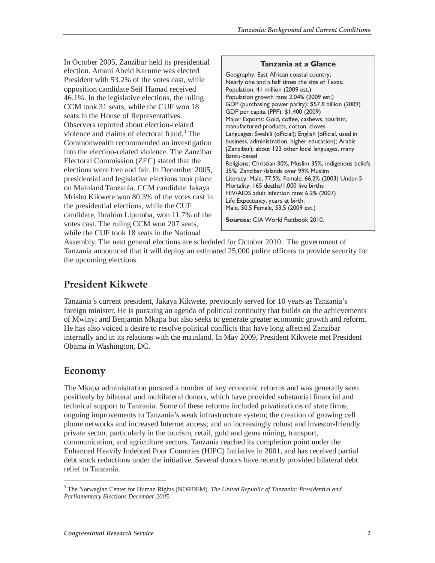In October 2005, Zanzibar held its presidential election. Amani Abeid Karume was elected President with 53.2% of the votes cast, while opposition candidate Seif Hamad received 46.1%. In the legislative elections, the ruling CCM took 31 seats, while the CUF won 18 seats in the House of Representatives. Observers reported about election-related violence and claims of electoral fraud.<sup>3</sup> The Commonwealth recommended an investigation into the election-related violence. The Zanzibar Electoral Commission (ZEC) stated that the elections were free and fair. In December 2005, presidential and legislative elections took place on Mainland Tanzania. CCM candidate Jakaya Mrisho Kikwete won 80.3% of the votes cast in the presidential elections, while the CUF candidate, Ibrahim Lipumba, won 11.7% of the votes cast. The ruling CCM won 207 seats, while the CUF took 18 seats in the National

#### **Tanzania at a Glance**  Geography: East African coastal country; Nearly one and a half times the size of Texas. Population: 41 million (2009 est.) Population growth rate: 2.04% (2009 est.) GDP (purchasing power parity): \$57.8 billion (2009) GDP per capita (PPP): \$1,400 (2009) Major Exports: Gold, coffee, cashews, tourism, manufactured products, cotton, cloves Languages: Swahili (official); English (official, used in business, administration, higher education); Arabic (Zanzibar); about 123 other local languages, many Bantu-based Religions: Christian 30%, Muslim 35%, indigenous beliefs 35%; Zanzibar /islands over 99% Muslim Literacy: Male, 77.5%; Female, 66.2% (2003) Under-5 Mortality: 165 deaths/1,000 live births HIV/AIDS adult infection rate: 6.2% (2007) Life Expectancy, years at birth: Male, 50.5 Female, 53.5 (2009 est.) **Sources:** CIA World Factbook 2010.

Assembly. The next general elections are scheduled for October 2010. The government of Tanzania announced that it will deploy an estimated 25,000 police officers to provide security for the upcoming elections.

#### **President Kikwete**

Tanzania's current president, Jakaya Kikwete, previously served for 10 years as Tanzania's foreign minister. He is pursuing an agenda of political continuity that builds on the achievements of Mwinyi and Benjamin Mkapa but also seeks to generate greater economic growth and reform. He has also voiced a desire to resolve political conflicts that have long affected Zanzibar internally and in its relations with the mainland. In May 2009, President Kikwete met President Obama in Washington, DC.

#### **Economy**

-

The Mkapa administration pursued a number of key economic reforms and was generally seen positively by bilateral and multilateral donors, which have provided substantial financial and technical support to Tanzania. Some of these reforms included privatizations of state firms; ongoing improvements to Tanzania's weak infrastructure system; the creation of growing cell phone networks and increased Internet access; and an increasingly robust and investor-friendly private sector, particularly in the tourism, retail, gold and gems mining, transport, communication, and agriculture sectors. Tanzania reached its completion point under the Enhanced Heavily Indebted Poor Countries (HIPC) Initiative in 2001, and has received partial debt stock reductions under the initiative. Several donors have recently provided bilateral debt relief to Tanzania.

<sup>3</sup> The Norwegian Center for Human Rights (NORDEM). *The United Republic of Tanzania: Presidential and Parliamentary Elections December 2005.*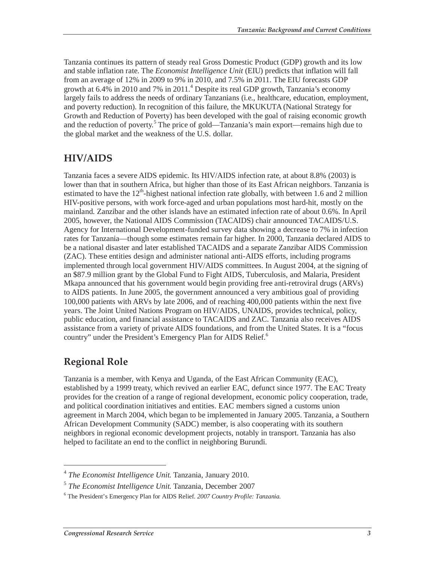Tanzania continues its pattern of steady real Gross Domestic Product (GDP) growth and its low and stable inflation rate. The *Economist Intelligence Unit* (EIU) predicts that inflation will fall from an average of 12% in 2009 to 9% in 2010, and 7.5% in 2011. The EIU forecasts GDP growth at  $6.4\%$  in 2010 and 7% in 2011.<sup>4</sup> Despite its real GDP growth, Tanzania's economy largely fails to address the needs of ordinary Tanzanians (i.e., healthcare, education, employment, and poverty reduction). In recognition of this failure, the MKUKUTA (National Strategy for Growth and Reduction of Poverty) has been developed with the goal of raising economic growth and the reduction of poverty.<sup>5</sup> The price of gold—Tanzania's main export—remains high due to the global market and the weakness of the U.S. dollar.

#### **HIV/AIDS**

Tanzania faces a severe AIDS epidemic. Its HIV/AIDS infection rate, at about 8.8% (2003) is lower than that in southern Africa, but higher than those of its East African neighbors. Tanzania is estimated to have the  $12<sup>th</sup>$ -highest national infection rate globally, with between 1.6 and 2 million HIV-positive persons, with work force-aged and urban populations most hard-hit, mostly on the mainland. Zanzibar and the other islands have an estimated infection rate of about 0.6%. In April 2005, however, the National AIDS Commission (TACAIDS) chair announced TACAIDS/U.S. Agency for International Development-funded survey data showing a decrease to 7% in infection rates for Tanzania—though some estimates remain far higher. In 2000, Tanzania declared AIDS to be a national disaster and later established TACAIDS and a separate Zanzibar AIDS Commission (ZAC). These entities design and administer national anti-AIDS efforts, including programs implemented through local government HIV/AIDS committees. In August 2004, at the signing of an \$87.9 million grant by the Global Fund to Fight AIDS, Tuberculosis, and Malaria, President Mkapa announced that his government would begin providing free anti-retroviral drugs (ARVs) to AIDS patients. In June 2005, the government announced a very ambitious goal of providing 100,000 patients with ARVs by late 2006, and of reaching 400,000 patients within the next five years. The Joint United Nations Program on HIV/AIDS, UNAIDS, provides technical, policy, public education, and financial assistance to TACAIDS and ZAC. Tanzania also receives AIDS assistance from a variety of private AIDS foundations, and from the United States. It is a "focus country" under the President's Emergency Plan for AIDS Relief.<sup>6</sup>

#### **Regional Role**

-

Tanzania is a member, with Kenya and Uganda, of the East African Community (EAC), established by a 1999 treaty, which revived an earlier EAC, defunct since 1977. The EAC Treaty provides for the creation of a range of regional development, economic policy cooperation, trade, and political coordination initiatives and entities. EAC members signed a customs union agreement in March 2004, which began to be implemented in January 2005. Tanzania, a Southern African Development Community (SADC) member, is also cooperating with its southern neighbors in regional economic development projects, notably in transport. Tanzania has also helped to facilitate an end to the conflict in neighboring Burundi.

<sup>4</sup> *The Economist Intelligence Unit.* Tanzania, January 2010.

<sup>5</sup> *The Economist Intelligence Unit.* Tanzania, December 2007

<sup>6</sup> The President's Emergency Plan for AIDS Relief. *2007 Country Profile: Tanzania.*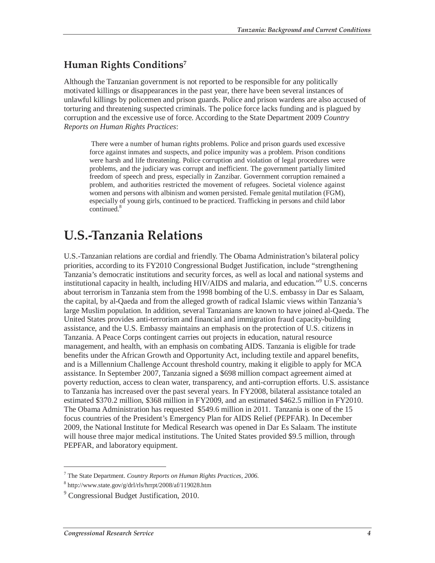#### **Human Rights Conditions7**

Although the Tanzanian government is not reported to be responsible for any politically motivated killings or disappearances in the past year, there have been several instances of unlawful killings by policemen and prison guards. Police and prison wardens are also accused of torturing and threatening suspected criminals. The police force lacks funding and is plagued by corruption and the excessive use of force. According to the State Department 2009 *Country Reports on Human Rights Practices*:

 There were a number of human rights problems. Police and prison guards used excessive force against inmates and suspects, and police impunity was a problem. Prison conditions were harsh and life threatening. Police corruption and violation of legal procedures were problems, and the judiciary was corrupt and inefficient. The government partially limited freedom of speech and press, especially in Zanzibar. Government corruption remained a problem, and authorities restricted the movement of refugees. Societal violence against women and persons with albinism and women persisted. Female genital mutilation (FGM), especially of young girls, continued to be practiced. Trafficking in persons and child labor continued.<sup>8</sup>

### **U.S.-Tanzania Relations**

U.S.-Tanzanian relations are cordial and friendly. The Obama Administration's bilateral policy priorities, according to its FY2010 Congressional Budget Justification, include "strengthening Tanzania's democratic institutions and security forces, as well as local and national systems and institutional capacity in health, including HIV/AIDS and malaria, and education."<sup>9</sup> U.S. concerns about terrorism in Tanzania stem from the 1998 bombing of the U.S. embassy in Dar es Salaam, the capital, by al-Qaeda and from the alleged growth of radical Islamic views within Tanzania's large Muslim population. In addition, several Tanzanians are known to have joined al-Qaeda. The United States provides anti-terrorism and financial and immigration fraud capacity-building assistance, and the U.S. Embassy maintains an emphasis on the protection of U.S. citizens in Tanzania. A Peace Corps contingent carries out projects in education, natural resource management, and health, with an emphasis on combating AIDS. Tanzania is eligible for trade benefits under the African Growth and Opportunity Act, including textile and apparel benefits, and is a Millennium Challenge Account threshold country, making it eligible to apply for MCA assistance. In September 2007, Tanzania signed a \$698 million compact agreement aimed at poverty reduction, access to clean water, transparency, and anti-corruption efforts. U.S. assistance to Tanzania has increased over the past several years. In FY2008, bilateral assistance totaled an estimated \$370.2 million, \$368 million in FY2009, and an estimated \$462.5 million in FY2010. The Obama Administration has requested \$549.6 million in 2011. Tanzania is one of the 15 focus countries of the President's Emergency Plan for AIDS Relief (PEPFAR). In December 2009, the National Institute for Medical Research was opened in Dar Es Salaam. The institute will house three major medical institutions. The United States provided \$9.5 million, through PEPFAR, and laboratory equipment.

-

<sup>7</sup> The State Department. *Country Reports on Human Rights Practices, 2006.*

<sup>8</sup> http://www.state.gov/g/drl/rls/hrrpt/2008/af/119028.htm

<sup>&</sup>lt;sup>9</sup> Congressional Budget Justification, 2010.